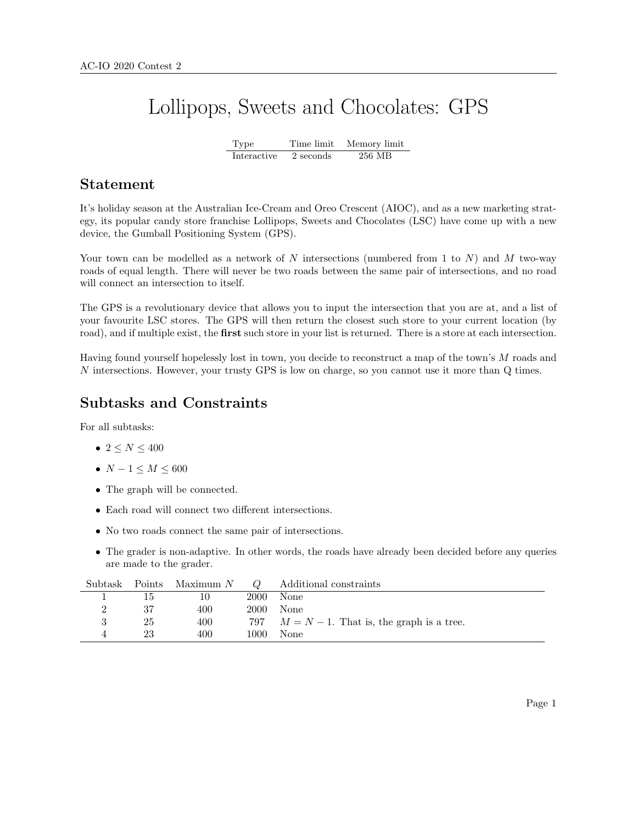# Lollipops, Sweets and Chocolates: GPS

Type Time limit Memory limit Interactive 2 seconds 256 MB

#### Statement

It's holiday season at the Australian Ice-Cream and Oreo Crescent (AIOC), and as a new marketing strategy, its popular candy store franchise Lollipops, Sweets and Chocolates (LSC) have come up with a new device, the Gumball Positioning System (GPS).

Your town can be modelled as a network of N intersections (numbered from 1 to  $N$ ) and M two-way roads of equal length. There will never be two roads between the same pair of intersections, and no road will connect an intersection to itself.

The GPS is a revolutionary device that allows you to input the intersection that you are at, and a list of your favourite LSC stores. The GPS will then return the closest such store to your current location (by road), and if multiple exist, the **first** such store in your list is returned. There is a store at each intersection.

Having found yourself hopelessly lost in town, you decide to reconstruct a map of the town's M roads and N intersections. However, your trusty GPS is low on charge, so you cannot use it more than Q times.

#### Subtasks and Constraints

For all subtasks:

- $2 \le N \le 400$
- $N 1 \leq M \leq 600$
- The graph will be connected.
- Each road will connect two different intersections.
- No two roads connect the same pair of intersections.
- The grader is non-adaptive. In other words, the roads have already been decided before any queries are made to the grader.

| Subtask |    | Points Maximum N | $\omega$ | Additional constraints                          |
|---------|----|------------------|----------|-------------------------------------------------|
|         | 15 |                  | 2000     | None                                            |
|         | 37 | 400              | 2000     | None                                            |
|         | 25 | 400              |          | 797 $M = N - 1$ . That is, the graph is a tree. |
|         | 23 | 400              | 1000     | None                                            |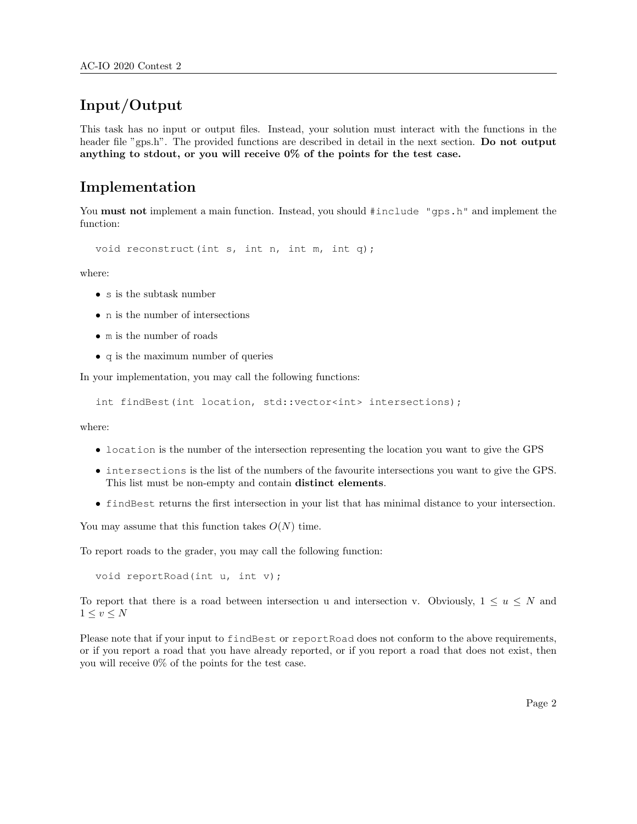## Input/Output

This task has no input or output files. Instead, your solution must interact with the functions in the header file "gps.h". The provided functions are described in detail in the next section. Do not output anything to stdout, or you will receive 0% of the points for the test case.

#### Implementation

You **must not** implement a main function. Instead, you should  $\#$  include "gps.h" and implement the function:

void reconstruct(int s, int n, int m, int q);

where:

- s is the subtask number
- n is the number of intersections
- m is the number of roads
- q is the maximum number of queries

In your implementation, you may call the following functions:

```
int findBest(int location, std::vector<int> intersections);
```
where:

- location is the number of the intersection representing the location you want to give the GPS
- intersections is the list of the numbers of the favourite intersections you want to give the GPS. This list must be non-empty and contain distinct elements.
- findBest returns the first intersection in your list that has minimal distance to your intersection.

You may assume that this function takes  $O(N)$  time.

To report roads to the grader, you may call the following function:

void reportRoad(int u, int v);

To report that there is a road between intersection u and intersection v. Obviously,  $1 \leq u \leq N$  and  $1 \leq v \leq N$ 

Please note that if your input to findBest or reportRoad does not conform to the above requirements, or if you report a road that you have already reported, or if you report a road that does not exist, then you will receive 0% of the points for the test case.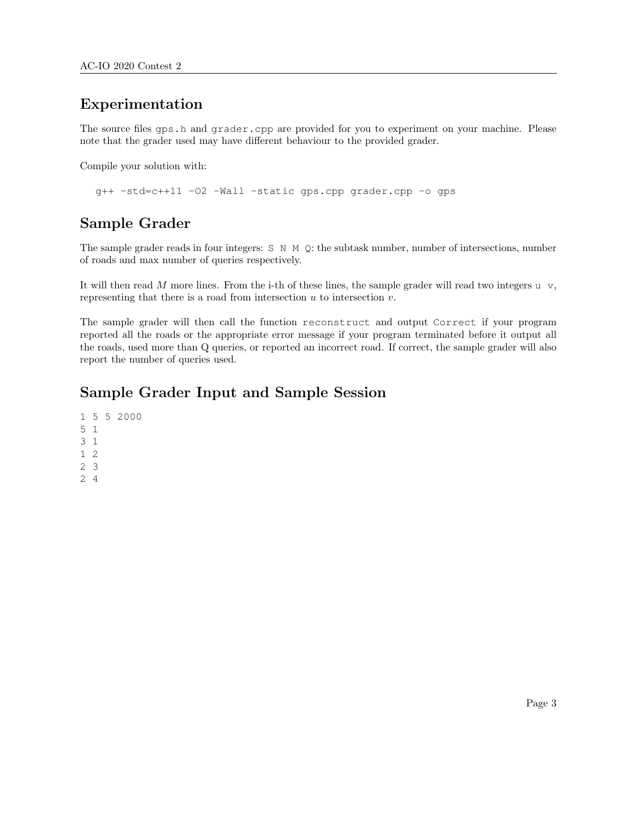#### Experimentation

The source files gps.h and grader.cpp are provided for you to experiment on your machine. Please note that the grader used may have different behaviour to the provided grader.

Compile your solution with:

g++ -std=c++11 -O2 -Wall -static gps.cpp grader.cpp -o gps

### Sample Grader

The sample grader reads in four integers: S N M Q: the subtask number, number of intersections, number of roads and max number of queries respectively.

It will then read M more lines. From the i-th of these lines, the sample grader will read two integers  $u \, v$ , representing that there is a road from intersection  $u$  to intersection  $v$ .

The sample grader will then call the function reconstruct and output Correct if your program reported all the roads or the appropriate error message if your program terminated before it output all the roads, used more than Q queries, or reported an incorrect road. If correct, the sample grader will also report the number of queries used.

#### Sample Grader Input and Sample Session